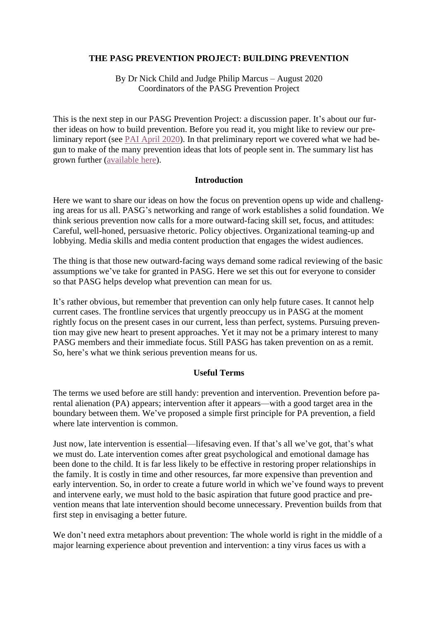### **THE PASG PREVENTION PROJECT: BUILDING PREVENTION**

By Dr Nick Child and Judge Philip Marcus – August 2020 Coordinators of the PASG Prevention Project

This is the next step in our PASG Prevention Project: a discussion paper. It's about our further ideas on how to build prevention. Before you read it, you might like to review our preliminary report (see [PAI April 2020\)](https://pasg.info/app/uploads/2020/04/Child-and-Marcus-2020-Prevention-Project-1.pdf). In that preliminary report we covered what we had begun to make of the many prevention ideas that lots of people sent in. The summary list has grown further [\(available here\)](https://thealienationexperience.files.wordpress.com/2020/08/pasg_preventionproject_list140plus_ideas.pdf).

#### **Introduction**

Here we want to share our ideas on how the focus on prevention opens up wide and challenging areas for us all. PASG's networking and range of work establishes a solid foundation. We think serious prevention now calls for a more outward-facing skill set, focus, and attitudes: Careful, well-honed, persuasive rhetoric. Policy objectives. Organizational teaming-up and lobbying. Media skills and media content production that engages the widest audiences.

The thing is that those new outward-facing ways demand some radical reviewing of the basic assumptions we've take for granted in PASG. Here we set this out for everyone to consider so that PASG helps develop what prevention can mean for us.

It's rather obvious, but remember that prevention can only help future cases. It cannot help current cases. The frontline services that urgently preoccupy us in PASG at the moment rightly focus on the present cases in our current, less than perfect, systems. Pursuing prevention may give new heart to present approaches. Yet it may not be a primary interest to many PASG members and their immediate focus. Still PASG has taken prevention on as a remit. So, here's what we think serious prevention means for us.

#### **Useful Terms**

The terms we used before are still handy: prevention and intervention. Prevention before parental alienation (PA) appears; intervention after it appears—with a good target area in the boundary between them. We've proposed a simple first principle for PA prevention, a field where late intervention is common.

Just now, late intervention is essential—lifesaving even. If that's all we've got, that's what we must do. Late intervention comes after great psychological and emotional damage has been done to the child. It is far less likely to be effective in restoring proper relationships in the family. It is costly in time and other resources, far more expensive than prevention and early intervention. So, in order to create a future world in which we've found ways to prevent and intervene early, we must hold to the basic aspiration that future good practice and prevention means that late intervention should become unnecessary. Prevention builds from that first step in envisaging a better future.

We don't need extra metaphors about prevention: The whole world is right in the middle of a major learning experience about prevention and intervention: a tiny virus faces us with a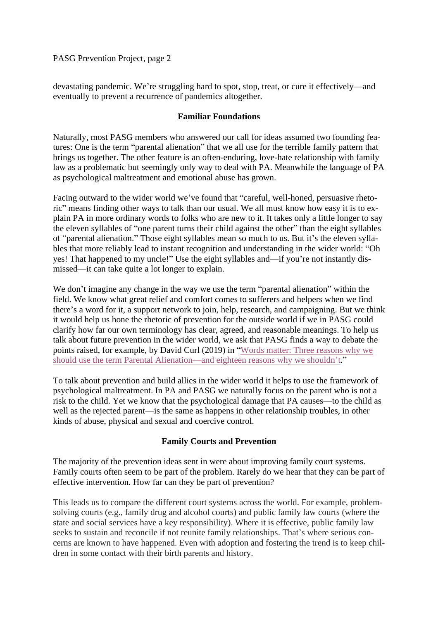devastating pandemic. We're struggling hard to spot, stop, treat, or cure it effectively—and eventually to prevent a recurrence of pandemics altogether.

#### **Familiar Foundations**

Naturally, most PASG members who answered our call for ideas assumed two founding features: One is the term "parental alienation" that we all use for the terrible family pattern that brings us together. The other feature is an often-enduring, love-hate relationship with family law as a problematic but seemingly only way to deal with PA. Meanwhile the language of PA as psychological maltreatment and emotional abuse has grown.

Facing outward to the wider world we've found that "careful, well-honed, persuasive rhetoric" means finding other ways to talk than our usual. We all must know how easy it is to explain PA in more ordinary words to folks who are new to it. It takes only a little longer to say the eleven syllables of "one parent turns their child against the other" than the eight syllables of "parental alienation." Those eight syllables mean so much to us. But it's the eleven syllables that more reliably lead to instant recognition and understanding in the wider world: "Oh yes! That happened to my uncle!" Use the eight syllables and—if you're not instantly dismissed—it can take quite a lot longer to explain.

We don't imagine any change in the way we use the term "parental alienation" within the field. We know what great relief and comfort comes to sufferers and helpers when we find there's a word for it, a support network to join, help, research, and campaigning. But we think it would help us hone the rhetoric of prevention for the outside world if we in PASG could clarify how far our own terminology has clear, agreed, and reasonable meanings. To help us talk about future prevention in the wider world, we ask that PASG finds a way to debate the points raised, for example, by David Curl (2019) in ["Words matter: Three reasons why we](https://thealienationexperience.files.wordpress.com/2020/08/parental-alienation-words-matter-2019-1.pdf)  [should use the term Parental Alienation—and eighteen reasons why we shouldn't.](https://thealienationexperience.files.wordpress.com/2020/08/parental-alienation-words-matter-2019-1.pdf)"

To talk about prevention and build allies in the wider world it helps to use the framework of psychological maltreatment. In PA and PASG we naturally focus on the parent who is not a risk to the child. Yet we know that the psychological damage that PA causes—to the child as well as the rejected parent—is the same as happens in other relationship troubles, in other kinds of abuse, physical and sexual and coercive control.

## **Family Courts and Prevention**

The majority of the prevention ideas sent in were about improving family court systems. Family courts often seem to be part of the problem. Rarely do we hear that they can be part of effective intervention. How far can they be part of prevention?

This leads us to compare the different court systems across the world. For example, problemsolving courts (e.g., family drug and alcohol courts) and public family law courts (where the state and social services have a key responsibility). Where it is effective, public family law seeks to sustain and reconcile if not reunite family relationships. That's where serious concerns are known to have happened. Even with adoption and fostering the trend is to keep children in some contact with their birth parents and history.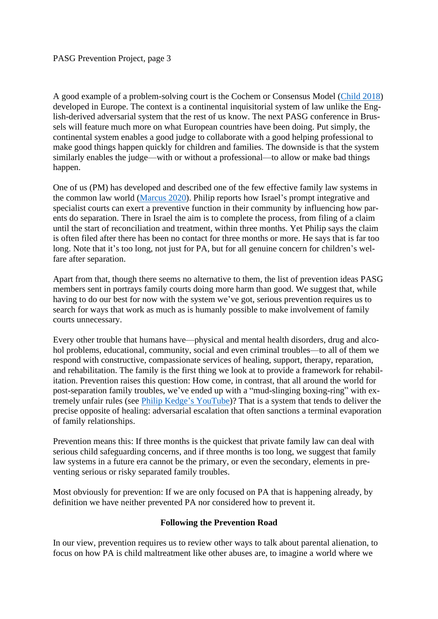A good example of a problem-solving court is the Cochem or Consensus Model [\(Child 2018\)](https://thealienationexperience.org.uk/2018/10/19/a-typewriter-cannot-juggle-but-cochem-can/) developed in Europe. The context is a continental inquisitorial system of law unlike the English-derived adversarial system that the rest of us know. The next PASG conference in Brussels will feature much more on what European countries have been doing. Put simply, the continental system enables a good judge to collaborate with a good helping professional to make good things happen quickly for children and families. The downside is that the system similarly enables the judge—with or without a professional—to allow or make bad things happen.

One of us (PM) has developed and described one of the few effective family law systems in the common law world [\(Marcus 2020\)](https://thealienationexperience.files.wordpress.com/2020/08/fcrapr20_23_israelmarcus.pdf). Philip reports how Israel's prompt integrative and specialist courts can exert a preventive function in their community by influencing how parents do separation. There in Israel the aim is to complete the process, from filing of a claim until the start of reconciliation and treatment, within three months. Yet Philip says the claim is often filed after there has been no contact for three months or more. He says that is far too long. Note that it's too long, not just for PA, but for all genuine concern for children's welfare after separation.

Apart from that, though there seems no alternative to them, the list of prevention ideas PASG members sent in portrays family courts doing more harm than good. We suggest that, while having to do our best for now with the system we've got, serious prevention requires us to search for ways that work as much as is humanly possible to make involvement of family courts unnecessary.

Every other trouble that humans have—physical and mental health disorders, drug and alcohol problems, educational, community, social and even criminal troubles—to all of them we respond with constructive, compassionate services of healing, support, therapy, reparation, and rehabilitation. The family is the first thing we look at to provide a framework for rehabilitation. Prevention raises this question: How come, in contrast, that all around the world for post-separation family troubles, we've ended up with a "mud-slinging boxing-ring" with extremely unfair rules (see [Philip Kedge's](https://youtu.be/O3YMZfh1J3w) YouTube)? That is a system that tends to deliver the precise opposite of healing: adversarial escalation that often sanctions a terminal evaporation of family relationships.

Prevention means this: If three months is the quickest that private family law can deal with serious child safeguarding concerns, and if three months is too long, we suggest that family law systems in a future era cannot be the primary, or even the secondary, elements in preventing serious or risky separated family troubles.

Most obviously for prevention: If we are only focused on PA that is happening already, by definition we have neither prevented PA nor considered how to prevent it.

## **Following the Prevention Road**

In our view, prevention requires us to review other ways to talk about parental alienation, to focus on how PA is child maltreatment like other abuses are, to imagine a world where we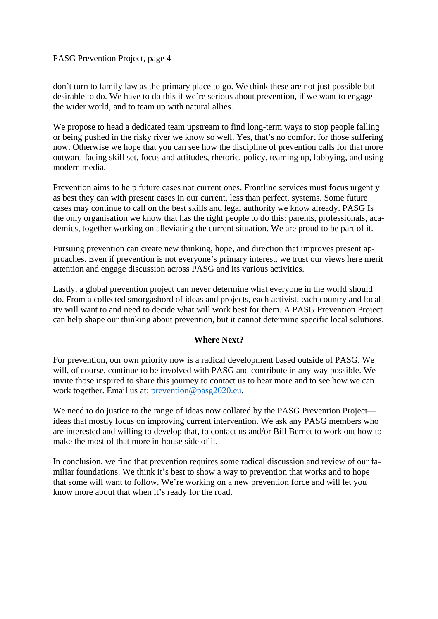#### PASG Prevention Project, page 4

don't turn to family law as the primary place to go. We think these are not just possible but desirable to do. We have to do this if we're serious about prevention, if we want to engage the wider world, and to team up with natural allies.

We propose to head a dedicated team upstream to find long-term ways to stop people falling or being pushed in the risky river we know so well. Yes, that's no comfort for those suffering now. Otherwise we hope that you can see how the discipline of prevention calls for that more outward-facing skill set, focus and attitudes, rhetoric, policy, teaming up, lobbying, and using modern media.

Prevention aims to help future cases not current ones. Frontline services must focus urgently as best they can with present cases in our current, less than perfect, systems. Some future cases may continue to call on the best skills and legal authority we know already. PASG Is the only organisation we know that has the right people to do this: parents, professionals, academics, together working on alleviating the current situation. We are proud to be part of it.

Pursuing prevention can create new thinking, hope, and direction that improves present approaches. Even if prevention is not everyone's primary interest, we trust our views here merit attention and engage discussion across PASG and its various activities.

Lastly, a global prevention project can never determine what everyone in the world should do. From a collected smorgasbord of ideas and projects, each activist, each country and locality will want to and need to decide what will work best for them. A PASG Prevention Project can help shape our thinking about prevention, but it cannot determine specific local solutions.

#### **Where Next?**

For prevention, our own priority now is a radical development based outside of PASG. We will, of course, continue to be involved with PASG and contribute in any way possible. We invite those inspired to share this journey to contact us to hear more and to see how we can work together. Email us at: [prevention@pasg2020.eu.](mailto:prevention@pasg2020.eu)

We need to do justice to the range of ideas now collated by the PASG Prevention Project ideas that mostly focus on improving current intervention. We ask any PASG members who are interested and willing to develop that, to contact us and/or Bill Bernet to work out how to make the most of that more in-house side of it.

In conclusion, we find that prevention requires some radical discussion and review of our familiar foundations. We think it's best to show a way to prevention that works and to hope that some will want to follow. We're working on a new prevention force and will let you know more about that when it's ready for the road.